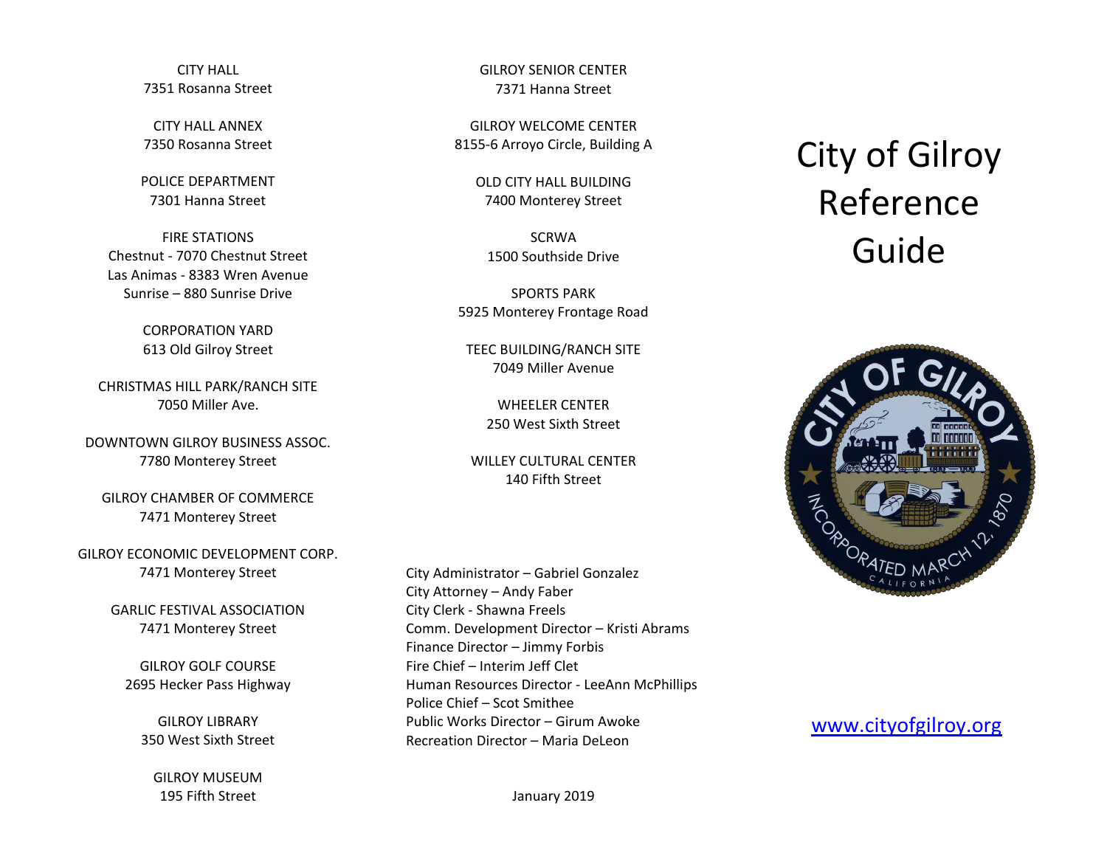CITY HALL 7351 Rosanna Street

CITY HALL ANNEX 7350 Rosanna Street

POLICE DEPARTMENT 7301 Hanna Street

FIRE STATIONS Chestnut - 7070 Chestnut Street Las Animas - 8383 Wren Avenue Sunrise – 880 Sunrise Drive

> CORPORATION YARD 613 Old Gilroy Street

CHRISTMAS HILL PARK/RANCH SITE 7050 Miller Ave.

DOWNTOWN GILROY BUSINESS ASSOC. 7780 Monterey Street

GILROY CHAMBER OF COMMERCE 7471 Monterey Street

GILROY ECONOMIC DEVELOPMENT CORP. 7471 Monterey Street

> GARLIC FESTIVAL ASSOCIATION 7471 Monterey Street

GILROY GOLF COURSE 2695 Hecker Pass Highway

GILROY LIBRARY 350 West Sixth Street

GILROY MUSEUM 195 Fifth Street

GILROY SENIOR CENTER 7371 Hanna Street

GILROY WELCOME CENTER 8155-6 Arroyo Circle, Building A

> OLD CITY HALL BUILDING 7400 Monterey Street

SCRWA 1500 Southside Drive

SPORTS PARK 5925 Monterey Frontage Road

TEEC BUILDING/RANCH SITE 7049 Miller Avenue

> WHEELER CENTER 250 West Sixth Street

WILLEY CULTURAL CENTER 140 Fifth Street

City Administrator – Gabriel Gonzalez City Attorney – Andy Faber City Clerk - Shawna Freels Comm. Development Director – Kristi Abrams Finance Director – Jimmy Forbis Fire Chief – Interim Jeff Clet Human Resources Director - LeeAnn McPhillips Police Chief – Scot Smithee Public Works Director – Girum Awoke Recreation Director – Maria DeLeon

## City of Gilroy Reference Guide





January 2019